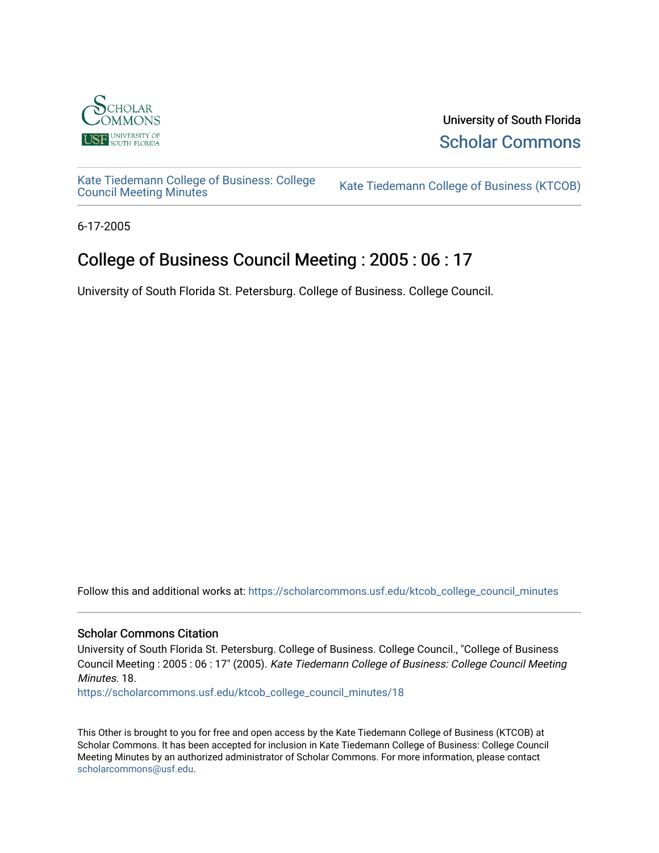

University of South Florida [Scholar Commons](https://scholarcommons.usf.edu/) 

[Kate Tiedemann College of Business: College](https://scholarcommons.usf.edu/ktcob_college_council_minutes)

Kate Tiedemann College of Business (KTCOB)

6-17-2005

# College of Business Council Meeting : 2005 : 06 : 17

University of South Florida St. Petersburg. College of Business. College Council.

Follow this and additional works at: [https://scholarcommons.usf.edu/ktcob\\_college\\_council\\_minutes](https://scholarcommons.usf.edu/ktcob_college_council_minutes?utm_source=scholarcommons.usf.edu%2Fktcob_college_council_minutes%2F18&utm_medium=PDF&utm_campaign=PDFCoverPages)

#### Scholar Commons Citation

University of South Florida St. Petersburg. College of Business. College Council., "College of Business Council Meeting : 2005 : 06 : 17" (2005). Kate Tiedemann College of Business: College Council Meeting Minutes. 18.

[https://scholarcommons.usf.edu/ktcob\\_college\\_council\\_minutes/18](https://scholarcommons.usf.edu/ktcob_college_council_minutes/18?utm_source=scholarcommons.usf.edu%2Fktcob_college_council_minutes%2F18&utm_medium=PDF&utm_campaign=PDFCoverPages) 

This Other is brought to you for free and open access by the Kate Tiedemann College of Business (KTCOB) at Scholar Commons. It has been accepted for inclusion in Kate Tiedemann College of Business: College Council Meeting Minutes by an authorized administrator of Scholar Commons. For more information, please contact [scholarcommons@usf.edu.](mailto:scholarcommons@usf.edu)